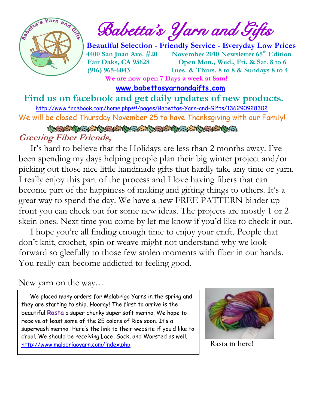

 $\frac{1}{2}$  and  $\frac{1}{2}$  **Babetta's Yarn and Gifts** 

 **Beautiful Selection - Friendly Service - Everyday Low Prices 14400 San Juan Ave. #20 November 2010 Newsletter 65<sup>th</sup> Edition Fair Oaks, CA 95628 Open Mon., Wed., Fri. & Sat. 8 to 6 (916) 965-6043 Tues. & Thurs. 8 to 8 & Sundays 8 to 4 We are now open 7 Days a week at 8am!** 

 **[www.babettasyarnandgifts.com](http://www.babettasyarnandgifts.com/)**

 **Find us on facebook and get daily updates of new products.** 

 <http://www.facebook.com/home.php#!/pages/Babettas-Yarn-and-Gifts/136290928302> We will be closed Thursday November 25 to have Thanksgiving with our Family!

 **Greeting Fiber Friends,**

It's hard to believe that the Holidays are less than 2 months away. I've been spending my days helping people plan their big winter project and/or picking out those nice little handmade gifts that hardly take any time or yarn. I really enjoy this part of the process and I love having fibers that can become part of the happiness of making and gifting things to others. It's a great way to spend the day. We have a new FREE PATTERN binder up front you can check out for some new ideas. The projects are mostly 1 or 2 skein ones. Next time you come by let me know if you'd like to check it out.

 I hope you're all finding enough time to enjoy your craft. People that don't knit, crochet, spin or weave might not understand why we look forward so gleefully to those few stolen moments with fiber in our hands. You really can become addicted to feeling good.

New yarn on the way…

 $\overline{a}$ 

 We placed many orders for Malabrigo Yarns in the spring and they are starting to ship. Hooray! The first to arrive is the beautiful **Rasta** a super chunky super soft merino. We hope to receive at least some of the 25 colors of Rios soon. It's a superwash merino. Here's the link to their website if you'd like to drool. We should be receiving Lace, Sock, and Worsted as well. <http://www.malabrigoyarn.com/index.php>



Rasta in here!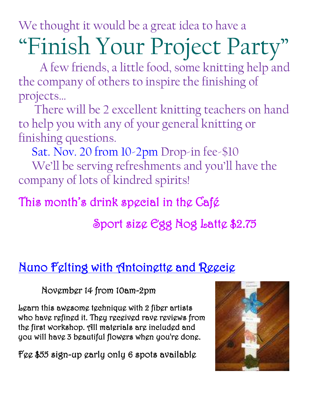We thought it would be a great idea to have a

# "Finish Your Project Party"

 A few friends, a little food, some knitting help and the company of others to inspire the finishing of projects…

 There will be 2 excellent knitting teachers on hand to help you with any of your general knitting or finishing questions.

Sat. Nov. 20 from 10-2pm Drop-in fee-\$10

We'll be serving refreshments and you'll have the company of lots of kindred spirits!

## This month's drink special in the Café

## Sport size Egg Nog Latte \$2.75

## Nuno Felting with Antoinette and Reecie

November 14 from 10am-2pm

Learn this awesome technique with 2 fiber artists who have refined it. They received rave reviews from the first workshop. All materials are included and you will have 3 beautiful flowers when you're done.

Fee \$55 sign-up early only 6 spots available

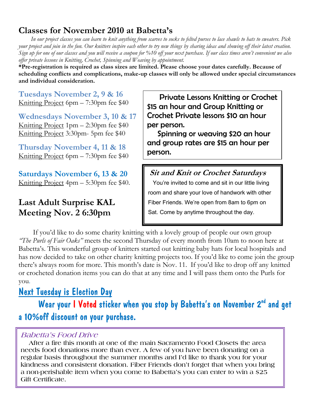#### **Classes for November 2010 at Babetta's**

 *In our project classes you can learn to knit anything from scarves to socks to felted purses to lace shawls to hats to sweaters. Pick your project and join in the fun. Our knitters inspire each other to try new things by sharing ideas and showing off their latest creation. Sign up for one of our classes and you will receive a coupon for %10 off your next purchase. If our class times aren't convenient we also offer private lessons in Knitting, Crochet, Spinning and Weaving by appointment.*

**\*Pre-registration is required as class sizes are limited. Please choose your dates carefully. Because of scheduling conflicts and complications, make-up classes will only be allowed under special circumstances and individual consideration.**

**Tuesdays November 2, 9 & 16** Knitting Project 6pm – 7:30pm fee \$40

**Wednesdays November 3, 10 & 17** Knitting Project 1pm – 2:30pm fee \$40 Knitting Project 3:30pm- 5pm fee \$40

**Thursday November 4, 11 & 18** Knitting Project 6pm – 7:30pm fee \$40

**Saturdays November 6, 13 & 20** Knitting Project 4pm – 5:30pm fee \$40.

#### **Last Adult Surprise KAL Meeting Nov. 2 6:30pm**

 Private Lessons Knitting or Crochet \$15 an hour and Group Knitting or Crochet Private lessons \$10 an hour per person.

 Spinning or weaving \$20 an hour and group rates are \$15 an hour per person.

**Sit and Knit or Crochet Saturdays** You're invited to come and sit in our little living room and share your love of handwork with other Fiber Friends. We're open from 8am to 6pm on Sat. Come by anytime throughout the day.

 If you'd like to do some charity knitting with a lovely group of people our own group *"The Purls of Fair Oaks"* meets the second Thursday of every month from 10am to noon here at Babetta's. This wonderful group of knitters started out knitting baby hats for local hospitals and has now decided to take on other charity knitting projects too. If you'd like to come join the group there's always room for more. This month's date is Nov. 11. If you'd like to drop off any knitted or crocheted donation items you can do that at any time and I will pass them onto the Purls for you.

#### Next Tuesday is Election Day

Wear your I Voted sticker when you stop by Babetta's on November 2<sup>nd</sup> and get a 10%off discount on your purchase.

#### **Babetta's Food Drive**

**Francisco Edit Certificate.**<br> **Francisco Edit Certificate. After a fire this month at one of the main Sacramento Food Closets the area needs food donations more than ever. A few of you have been donating on a regular basis throughout the summer months and I'd like to thank you for your kindness and consistent donation. Fiber Friends don't forget that when you bring a non-perishable item when you come to Babetta's you can enter to win a \$25**